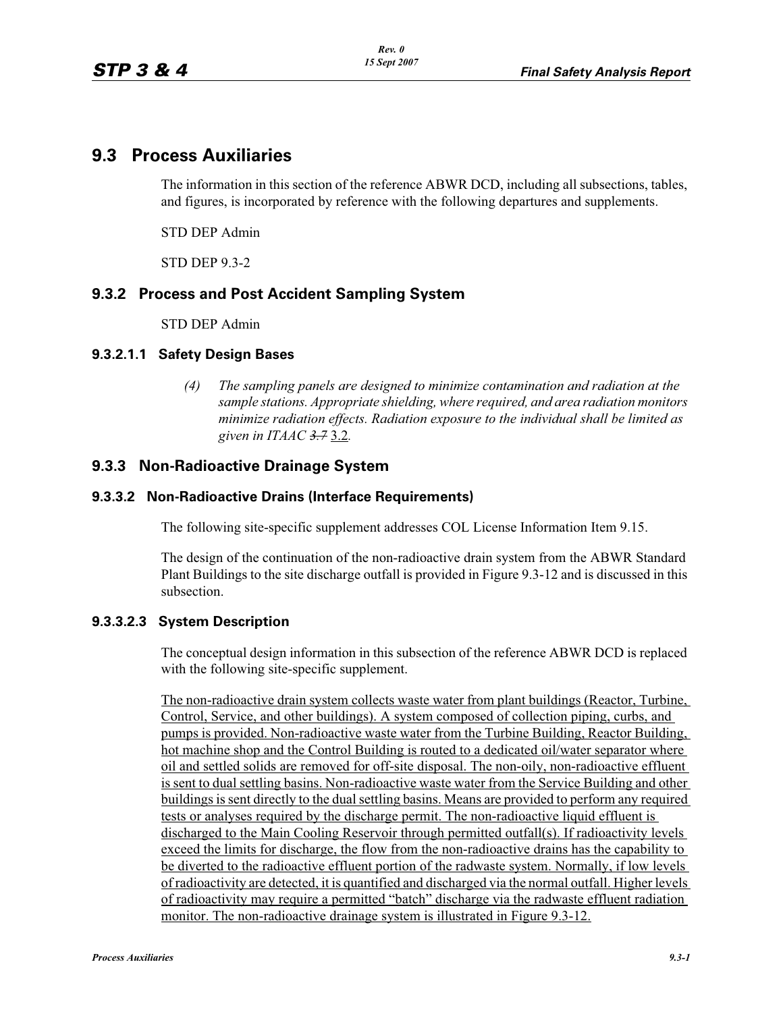# **9.3 Process Auxiliaries**

The information in this section of the reference ABWR DCD, including all subsections, tables, and figures, is incorporated by reference with the following departures and supplements.

STD DEP Admin

STD DEP 9.3-2

## **9.3.2 Process and Post Accident Sampling System**

STD DEP Admin

## **9.3.2.1.1 Safety Design Bases**

*(4) The sampling panels are designed to minimize contamination and radiation at the sample stations. Appropriate shielding, where required, and area radiation monitors minimize radiation effects. Radiation exposure to the individual shall be limited as given in ITAAC 3.7* 3.2*.*

## **9.3.3 Non-Radioactive Drainage System**

### **9.3.3.2 Non-Radioactive Drains (Interface Requirements)**

The following site-specific supplement addresses COL License Information Item 9.15.

The design of the continuation of the non-radioactive drain system from the ABWR Standard Plant Buildings to the site discharge outfall is provided in Figure 9.3-12 and is discussed in this subsection.

## **9.3.3.2.3 System Description**

The conceptual design information in this subsection of the reference ABWR DCD is replaced with the following site-specific supplement.

The non-radioactive drain system collects waste water from plant buildings (Reactor, Turbine, Control, Service, and other buildings). A system composed of collection piping, curbs, and pumps is provided. Non-radioactive waste water from the Turbine Building, Reactor Building, hot machine shop and the Control Building is routed to a dedicated oil/water separator where oil and settled solids are removed for off-site disposal. The non-oily, non-radioactive effluent is sent to dual settling basins. Non-radioactive waste water from the Service Building and other buildings is sent directly to the dual settling basins. Means are provided to perform any required tests or analyses required by the discharge permit. The non-radioactive liquid effluent is discharged to the Main Cooling Reservoir through permitted outfall(s). If radioactivity levels exceed the limits for discharge, the flow from the non-radioactive drains has the capability to be diverted to the radioactive effluent portion of the radwaste system. Normally, if low levels of radioactivity are detected, it is quantified and discharged via the normal outfall. Higher levels of radioactivity may require a permitted "batch" discharge via the radwaste effluent radiation monitor. The non-radioactive drainage system is illustrated in Figure 9.3-12.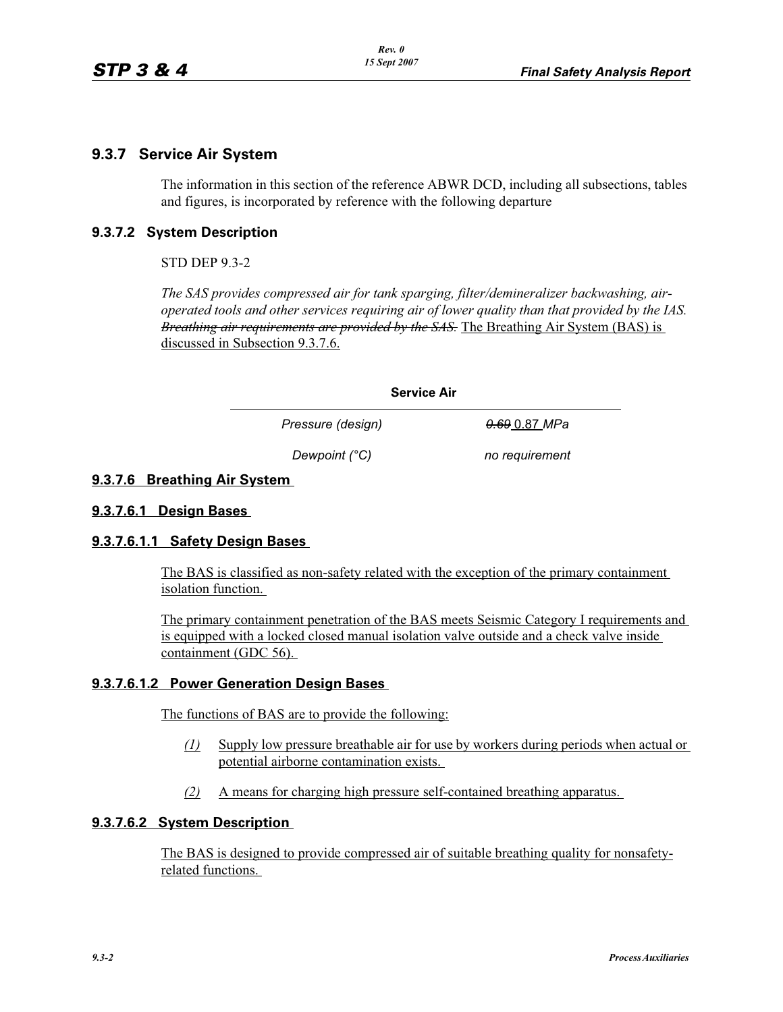## **9.3.7 Service Air System**

The information in this section of the reference ABWR DCD, including all subsections, tables and figures, is incorporated by reference with the following departure

### **9.3.7.2 System Description**

STD DEP 9.3-2

*The SAS provides compressed air for tank sparging, filter/demineralizer backwashing, airoperated tools and other services requiring air of lower quality than that provided by the IAS. Breathing air requirements are provided by the SAS.* The Breathing Air System (BAS) is discussed in Subsection 9.3.7.6.

**Service Air**

*Pressure (design) 0.69* 0.87 *MPa*

*Dewpoint (°C)* no requirement

#### **9.3.7.6 Breathing Air System**

#### **9.3.7.6.1 Design Bases**

#### **9.3.7.6.1.1 Safety Design Bases**

The BAS is classified as non-safety related with the exception of the primary containment isolation function.

The primary containment penetration of the BAS meets Seismic Category I requirements and is equipped with a locked closed manual isolation valve outside and a check valve inside containment (GDC 56).

#### **9.3.7.6.1.2 Power Generation Design Bases**

The functions of BAS are to provide the following:

- *(1)* Supply low pressure breathable air for use by workers during periods when actual or potential airborne contamination exists.
- *(2)* A means for charging high pressure self-contained breathing apparatus.

#### **9.3.7.6.2 System Description**

The BAS is designed to provide compressed air of suitable breathing quality for nonsafetyrelated functions.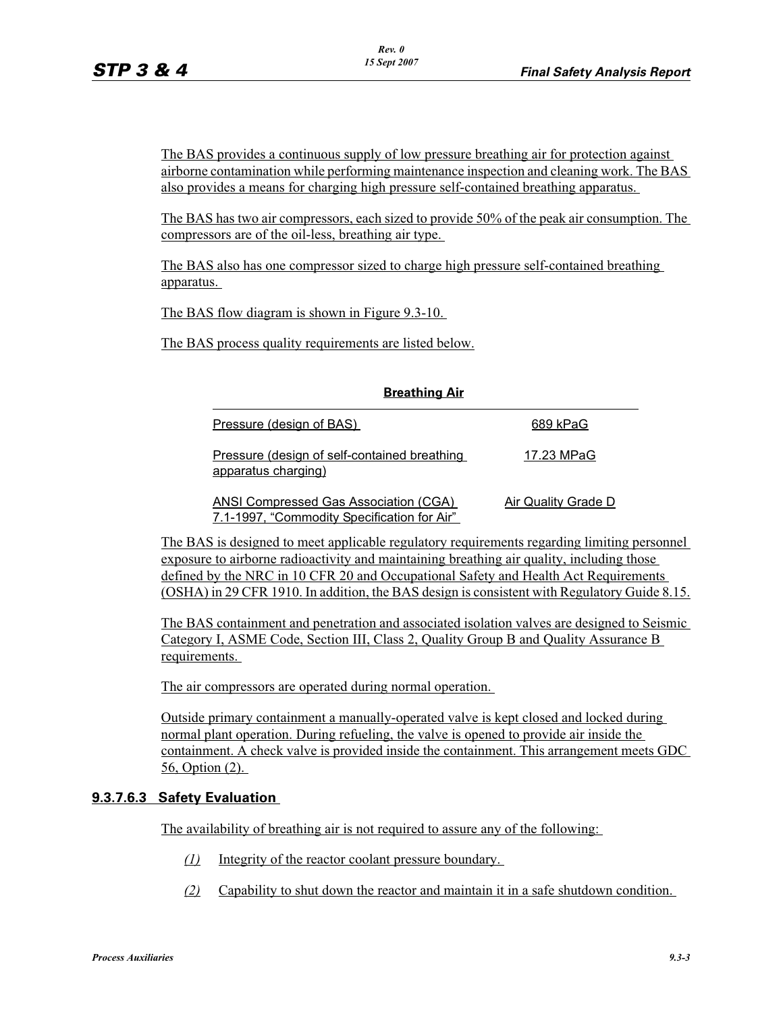The BAS provides a continuous supply of low pressure breathing air for protection against airborne contamination while performing maintenance inspection and cleaning work. The BAS also provides a means for charging high pressure self-contained breathing apparatus.

The BAS has two air compressors, each sized to provide 50% of the peak air consumption. The compressors are of the oil-less, breathing air type.

The BAS also has one compressor sized to charge high pressure self-contained breathing apparatus.

The BAS flow diagram is shown in Figure 9.3-10.

The BAS process quality requirements are listed below.

| <b>Breathing Air</b>                                                                        |                     |
|---------------------------------------------------------------------------------------------|---------------------|
| Pressure (design of BAS)                                                                    | 689 kPaG            |
| Pressure (design of self-contained breathing<br>apparatus charging)                         | 17.23 MPaG          |
| <b>ANSI Compressed Gas Association (CGA)</b><br>7.1-1997, "Commodity Specification for Air" | Air Quality Grade D |

The BAS is designed to meet applicable regulatory requirements regarding limiting personnel exposure to airborne radioactivity and maintaining breathing air quality, including those defined by the NRC in 10 CFR 20 and Occupational Safety and Health Act Requirements (OSHA) in 29 CFR 1910. In addition, the BAS design is consistent with Regulatory Guide 8.15.

The BAS containment and penetration and associated isolation valves are designed to Seismic Category I, ASME Code, Section III, Class 2, Quality Group B and Quality Assurance B requirements.

The air compressors are operated during normal operation.

Outside primary containment a manually-operated valve is kept closed and locked during normal plant operation. During refueling, the valve is opened to provide air inside the containment. A check valve is provided inside the containment. This arrangement meets GDC 56, Option (2).

#### **9.3.7.6.3 Safety Evaluation**

The availability of breathing air is not required to assure any of the following:

- *(1)* Integrity of the reactor coolant pressure boundary.
- *(2)* Capability to shut down the reactor and maintain it in a safe shutdown condition.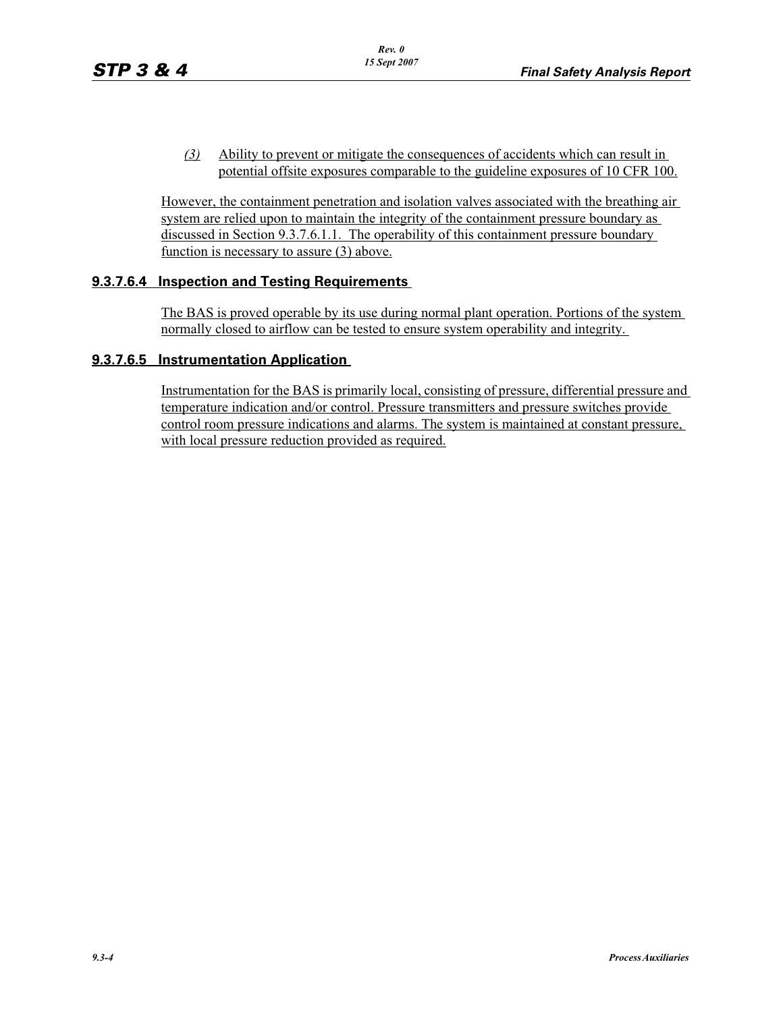*(3)* Ability to prevent or mitigate the consequences of accidents which can result in potential offsite exposures comparable to the guideline exposures of 10 CFR 100.

However, the containment penetration and isolation valves associated with the breathing air system are relied upon to maintain the integrity of the containment pressure boundary as discussed in Section 9.3.7.6.1.1. The operability of this containment pressure boundary function is necessary to assure (3) above.

## **9.3.7.6.4 Inspection and Testing Requirements**

The BAS is proved operable by its use during normal plant operation. Portions of the system normally closed to airflow can be tested to ensure system operability and integrity.

#### **9.3.7.6.5 Instrumentation Application**

Instrumentation for the BAS is primarily local, consisting of pressure, differential pressure and temperature indication and/or control. Pressure transmitters and pressure switches provide control room pressure indications and alarms. The system is maintained at constant pressure, with local pressure reduction provided as required.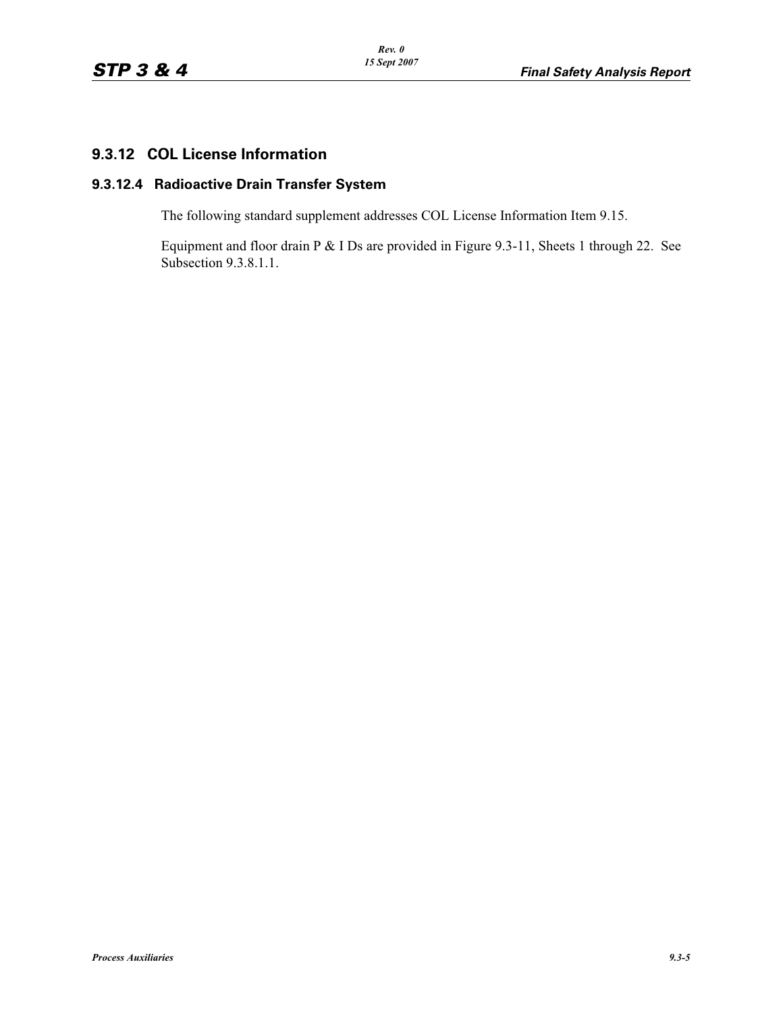## **9.3.12 COL License Information**

# **9.3.12.4 Radioactive Drain Transfer System**

The following standard supplement addresses COL License Information Item 9.15.

Equipment and floor drain P & I Ds are provided in Figure 9.3-11, Sheets 1 through 22. See Subsection 9.3.8.1.1.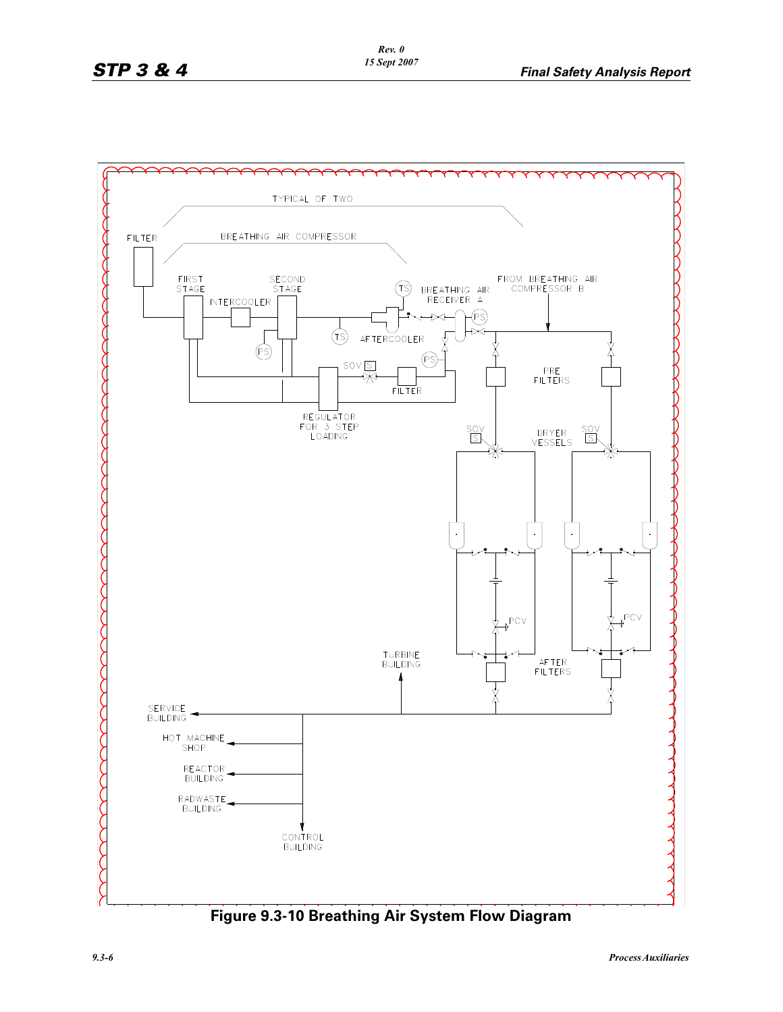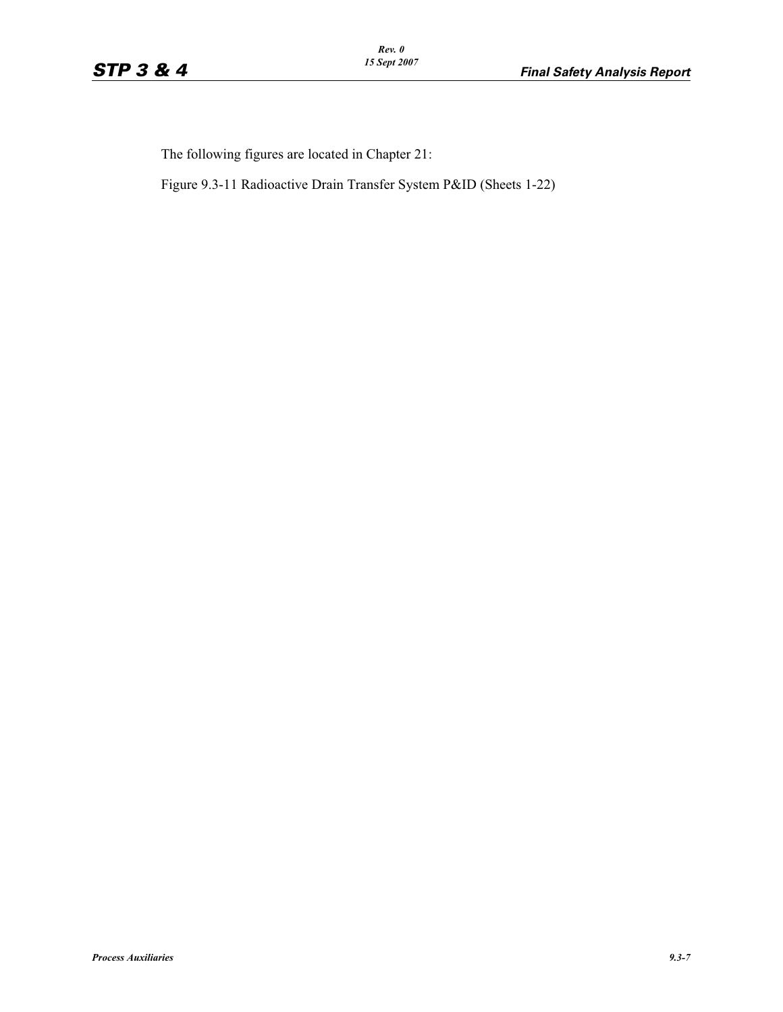The following figures are located in Chapter 21:

Figure 9.3-11 Radioactive Drain Transfer System P&ID (Sheets 1-22)